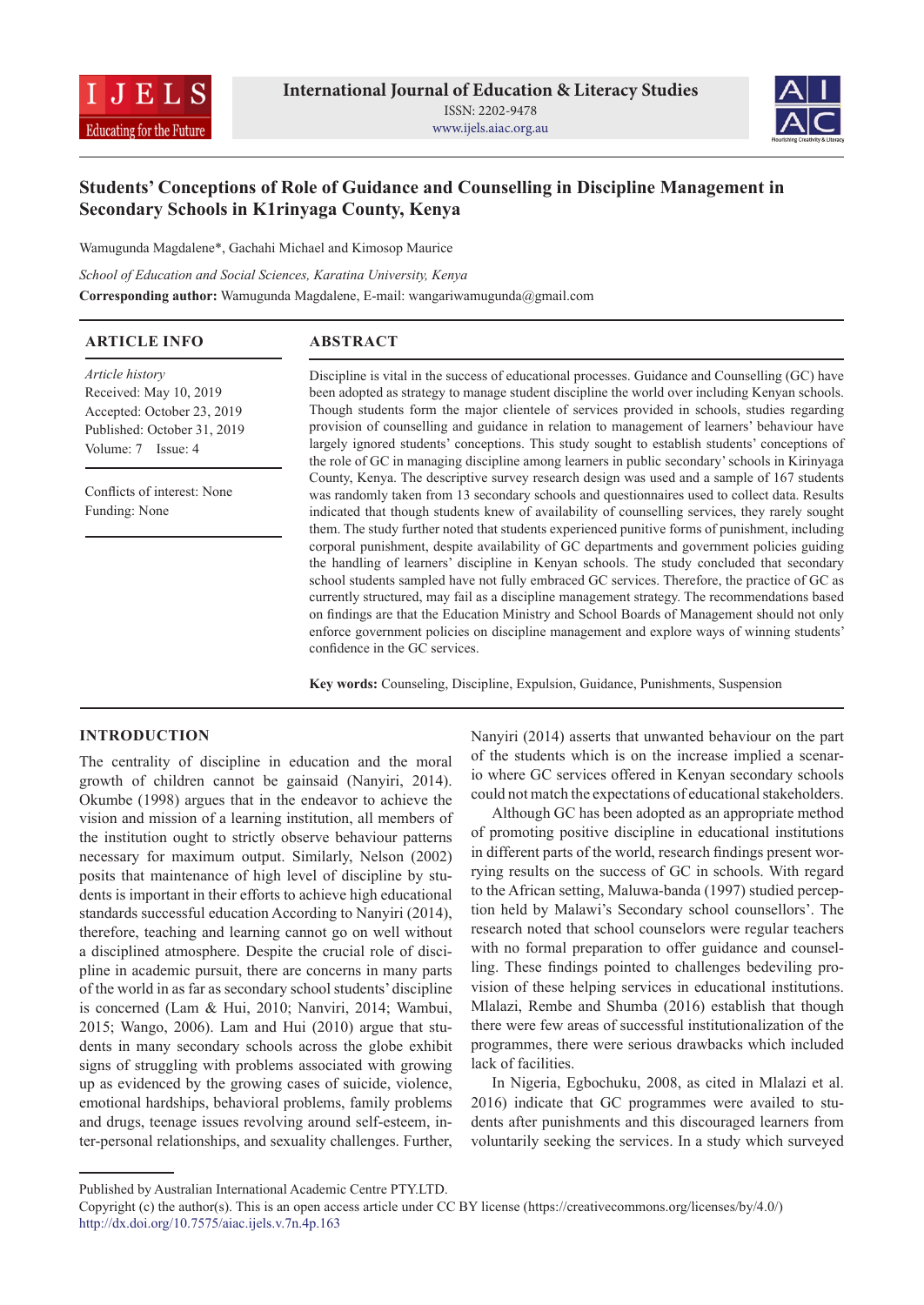



# **Students' Conceptions of Role of Guidance and Counselling in Discipline Management in Secondary Schools in K1rinyaga County, Kenya**

Wamugunda Magdalene\*, Gachahi Michael and Kimosop Maurice

*School of Education and Social Sciences, Karatina University, Kenya*

**Corresponding author:** Wamugunda Magdalene, E-mail: wangariwamugunda@gmail.com

| <b>ARTICLE INFO</b>                                                                                                          | <b>ABSTRACT</b>                                                                                                                                                                                                                                                                                                                                                                                                                                                                                                                                                                                                                                                                                   |
|------------------------------------------------------------------------------------------------------------------------------|---------------------------------------------------------------------------------------------------------------------------------------------------------------------------------------------------------------------------------------------------------------------------------------------------------------------------------------------------------------------------------------------------------------------------------------------------------------------------------------------------------------------------------------------------------------------------------------------------------------------------------------------------------------------------------------------------|
| Article history<br>Received: May 10, 2019<br>Accepted: October 23, 2019<br>Published: October 31, 2019<br>Volume: 7 Issue: 4 | Discipline is vital in the success of educational processes. Guidance and Counselling (GC) have<br>been adopted as strategy to manage student discipline the world over including Kenyan schools.<br>Though students form the major clientele of services provided in schools, studies regarding<br>provision of counselling and guidance in relation to management of learners' behaviour have<br>largely ignored students' conceptions. This study sought to establish students' conceptions of                                                                                                                                                                                                 |
| Conflicts of interest: None<br>Funding: None                                                                                 | the role of GC in managing discipline among learners in public secondary' schools in Kirinyaga<br>County, Kenya. The descriptive survey research design was used and a sample of 167 students<br>was randomly taken from 13 secondary schools and questionnaires used to collect data. Results<br>indicated that though students knew of availability of counselling services, they rarely sought<br>them. The study further noted that students experienced punitive forms of punishment, including<br>corporal punishment, despite availability of GC departments and government policies guiding<br>the handling of learners' discipline in Kenyan schools. The study concluded that secondary |
|                                                                                                                              | school students sampled have not fully embraced GC services. Therefore, the practice of GC as<br>currently structured, may fail as a discipline management strategy. The recommendations based<br>on findings are that the Education Ministry and School Boards of Management should not only<br>enforce government policies on discipline management and explore ways of winning students'<br>confidence in the GC services.                                                                                                                                                                                                                                                                     |

**Key words:** Counseling, Discipline, Expulsion, Guidance, Punishments, Suspension

## **INTRODUCTION**

The centrality of discipline in education and the moral growth of children cannot be gainsaid (Nanyiri, 2014). Okumbe (1998) argues that in the endeavor to achieve the vision and mission of a learning institution, all members of the institution ought to strictly observe behaviour patterns necessary for maximum output. Similarly, Nelson (2002) posits that maintenance of high level of discipline by students is important in their efforts to achieve high educational standards successful education According to Nanyiri (2014), therefore, teaching and learning cannot go on well without a disciplined atmosphere. Despite the crucial role of discipline in academic pursuit, there are concerns in many parts of the world in as far as secondary school students' discipline is concerned (Lam & Hui, 2010; Nanviri, 2014; Wambui, 2015; Wango, 2006). Lam and Hui (2010) argue that students in many secondary schools across the globe exhibit signs of struggling with problems associated with growing up as evidenced by the growing cases of suicide, violence, emotional hardships, behavioral problems, family problems and drugs, teenage issues revolving around self-esteem, inter-personal relationships, and sexuality challenges. Further,

Nanyiri (2014) asserts that unwanted behaviour on the part of the students which is on the increase implied a scenario where GC services offered in Kenyan secondary schools could not match the expectations of educational stakeholders.

Although GC has been adopted as an appropriate method of promoting positive discipline in educational institutions in different parts of the world, research findings present worrying results on the success of GC in schools. With regard to the African setting, Maluwa-banda (1997) studied perception held by Malawi's Secondary school counsellors'. The research noted that school counselors were regular teachers with no formal preparation to offer guidance and counselling. These findings pointed to challenges bedeviling provision of these helping services in educational institutions. Mlalazi, Rembe and Shumba (2016) establish that though there were few areas of successful institutionalization of the programmes, there were serious drawbacks which included lack of facilities.

In Nigeria, Egbochuku, 2008, as cited in Mlalazi et al. 2016) indicate that GC programmes were availed to students after punishments and this discouraged learners from voluntarily seeking the services. In a study which surveyed

Published by Australian International Academic Centre PTY.LTD.

Copyright (c) the author(s). This is an open access article under CC BY license (https://creativecommons.org/licenses/by/4.0/) http://dx.doi.org/10.7575/aiac.ijels.v.7n.4p.163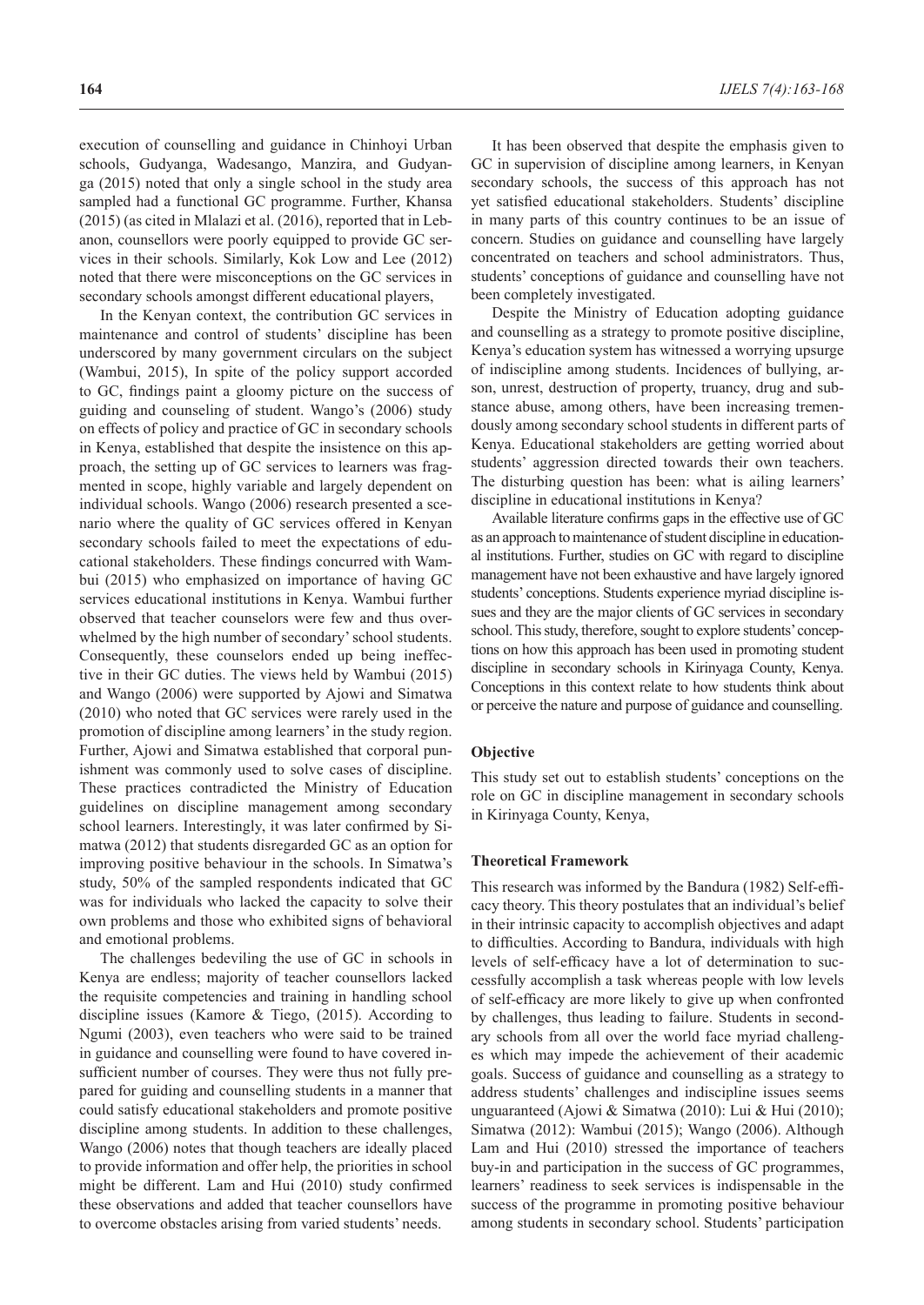execution of counselling and guidance in Chinhoyi Urban schools, Gudyanga, Wadesango, Manzira, and Gudyanga (2015) noted that only a single school in the study area sampled had a functional GC programme. Further, Khansa (2015) (as cited in Mlalazi et al. (2016), reported that in Lebanon, counsellors were poorly equipped to provide GC services in their schools. Similarly, Kok Low and Lee (2012) noted that there were misconceptions on the GC services in secondary schools amongst different educational players,

In the Kenyan context, the contribution GC services in maintenance and control of students' discipline has been underscored by many government circulars on the subject (Wambui, 2015), In spite of the policy support accorded to GC, findings paint a gloomy picture on the success of guiding and counseling of student. Wango's (2006) study on effects of policy and practice of GC in secondary schools in Kenya, established that despite the insistence on this approach, the setting up of GC services to learners was fragmented in scope, highly variable and largely dependent on individual schools. Wango (2006) research presented a scenario where the quality of GC services offered in Kenyan secondary schools failed to meet the expectations of educational stakeholders. These findings concurred with Wambui (2015) who emphasized on importance of having GC services educational institutions in Kenya. Wambui further observed that teacher counselors were few and thus overwhelmed by the high number of secondary' school students. Consequently, these counselors ended up being ineffective in their GC duties. The views held by Wambui (2015) and Wango (2006) were supported by Ajowi and Simatwa (2010) who noted that GC services were rarely used in the promotion of discipline among learners' in the study region. Further, Ajowi and Simatwa established that corporal punishment was commonly used to solve cases of discipline. These practices contradicted the Ministry of Education guidelines on discipline management among secondary school learners. Interestingly, it was later confirmed by Simatwa (2012) that students disregarded GC as an option for improving positive behaviour in the schools. In Simatwa's study, 50% of the sampled respondents indicated that GC was for individuals who lacked the capacity to solve their own problems and those who exhibited signs of behavioral and emotional problems.

The challenges bedeviling the use of GC in schools in Kenya are endless; majority of teacher counsellors lacked the requisite competencies and training in handling school discipline issues (Kamore & Tiego, (2015). According to Ngumi (2003), even teachers who were said to be trained in guidance and counselling were found to have covered insufficient number of courses. They were thus not fully prepared for guiding and counselling students in a manner that could satisfy educational stakeholders and promote positive discipline among students. In addition to these challenges, Wango (2006) notes that though teachers are ideally placed to provide information and offer help, the priorities in school might be different. Lam and Hui (2010) study confirmed these observations and added that teacher counsellors have to overcome obstacles arising from varied students' needs.

It has been observed that despite the emphasis given to GC in supervision of discipline among learners, in Kenyan secondary schools, the success of this approach has not yet satisfied educational stakeholders. Students' discipline in many parts of this country continues to be an issue of concern. Studies on guidance and counselling have largely concentrated on teachers and school administrators. Thus, students' conceptions of guidance and counselling have not been completely investigated.

Despite the Ministry of Education adopting guidance and counselling as a strategy to promote positive discipline, Kenya's education system has witnessed a worrying upsurge of indiscipline among students. Incidences of bullying, arson, unrest, destruction of property, truancy, drug and substance abuse, among others, have been increasing tremendously among secondary school students in different parts of Kenya. Educational stakeholders are getting worried about students' aggression directed towards their own teachers. The disturbing question has been: what is ailing learners' discipline in educational institutions in Kenya?

Available literature confirms gaps in the effective use of GC as an approach to maintenance of student discipline in educational institutions. Further, studies on GC with regard to discipline management have not been exhaustive and have largely ignored students' conceptions. Students experience myriad discipline issues and they are the major clients of GC services in secondary school. This study, therefore, sought to explore students' conceptions on how this approach has been used in promoting student discipline in secondary schools in Kirinyaga County, Kenya. Conceptions in this context relate to how students think about or perceive the nature and purpose of guidance and counselling.

#### **Objective**

This study set out to establish students' conceptions on the role on GC in discipline management in secondary schools in Kirinyaga County, Kenya,

#### **Theoretical Framework**

This research was informed by the Bandura (1982) Self-efficacy theory. This theory postulates that an individual's belief in their intrinsic capacity to accomplish objectives and adapt to difficulties. According to Bandura, individuals with high levels of self-efficacy have a lot of determination to successfully accomplish a task whereas people with low levels of self-efficacy are more likely to give up when confronted by challenges, thus leading to failure. Students in secondary schools from all over the world face myriad challenges which may impede the achievement of their academic goals. Success of guidance and counselling as a strategy to address students' challenges and indiscipline issues seems unguaranteed (Ajowi & Simatwa (2010): Lui & Hui (2010); Simatwa (2012): Wambui (2015); Wango (2006). Although Lam and Hui (2010) stressed the importance of teachers buy-in and participation in the success of GC programmes, learners' readiness to seek services is indispensable in the success of the programme in promoting positive behaviour among students in secondary school. Students' participation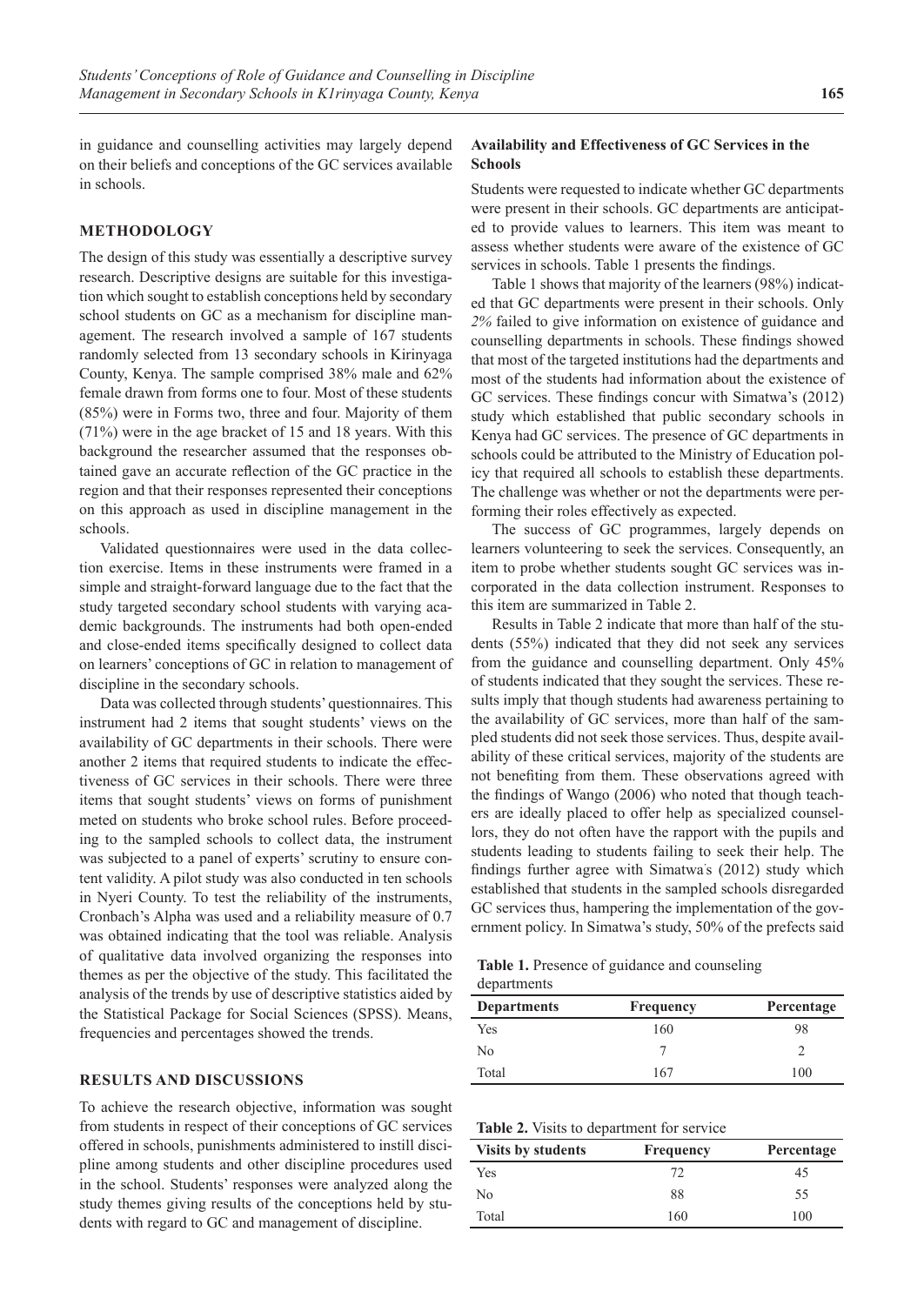in guidance and counselling activities may largely depend on their beliefs and conceptions of the GC services available in schools.

## **METHODOLOGY**

The design of this study was essentially a descriptive survey research. Descriptive designs are suitable for this investigation which sought to establish conceptions held by secondary school students on GC as a mechanism for discipline management. The research involved a sample of 167 students randomly selected from 13 secondary schools in Kirinyaga County, Kenya. The sample comprised 38% male and 62% female drawn from forms one to four. Most of these students (85%) were in Forms two, three and four. Majority of them (71%) were in the age bracket of 15 and 18 years. With this background the researcher assumed that the responses obtained gave an accurate reflection of the GC practice in the region and that their responses represented their conceptions on this approach as used in discipline management in the schools.

Validated questionnaires were used in the data collection exercise. Items in these instruments were framed in a simple and straight-forward language due to the fact that the study targeted secondary school students with varying academic backgrounds. The instruments had both open-ended and close-ended items specifically designed to collect data on learners' conceptions of GC in relation to management of discipline in the secondary schools.

Data was collected through students' questionnaires. This instrument had 2 items that sought students' views on the availability of GC departments in their schools. There were another 2 items that required students to indicate the effectiveness of GC services in their schools. There were three items that sought students' views on forms of punishment meted on students who broke school rules. Before proceeding to the sampled schools to collect data, the instrument was subjected to a panel of experts' scrutiny to ensure content validity. A pilot study was also conducted in ten schools in Nyeri County. To test the reliability of the instruments, Cronbach's Alpha was used and a reliability measure of 0.7 was obtained indicating that the tool was reliable. Analysis of qualitative data involved organizing the responses into themes as per the objective of the study. This facilitated the analysis of the trends by use of descriptive statistics aided by the Statistical Package for Social Sciences (SPSS). Means, frequencies and percentages showed the trends.

## **RESULTS AND DISCUSSIONS**

To achieve the research objective, information was sought from students in respect of their conceptions of GC services offered in schools, punishments administered to instill discipline among students and other discipline procedures used in the school. Students' responses were analyzed along the study themes giving results of the conceptions held by students with regard to GC and management of discipline.

#### **Availability and Effectiveness of GC Services in the Schools**

Students were requested to indicate whether GC departments were present in their schools. GC departments are anticipated to provide values to learners. This item was meant to assess whether students were aware of the existence of GC services in schools. Table 1 presents the findings.

Table 1 shows that majority of the learners (98%) indicated that GC departments were present in their schools. Only *2%* failed to give information on existence of guidance and counselling departments in schools. These findings showed that most of the targeted institutions had the departments and most of the students had information about the existence of GC services. These findings concur with Simatwa's (2012) study which established that public secondary schools in Kenya had GC services. The presence of GC departments in schools could be attributed to the Ministry of Education policy that required all schools to establish these departments. The challenge was whether or not the departments were performing their roles effectively as expected.

The success of GC programmes, largely depends on learners volunteering to seek the services. Consequently, an item to probe whether students sought GC services was incorporated in the data collection instrument. Responses to this item are summarized in Table 2.

Results in Table 2 indicate that more than half of the students (55%) indicated that they did not seek any services from the guidance and counselling department. Only 45% of students indicated that they sought the services. These results imply that though students had awareness pertaining to the availability of GC services, more than half of the sampled students did not seek those services. Thus, despite availability of these critical services, majority of the students are not benefiting from them. These observations agreed with the findings of Wango (2006) who noted that though teachers are ideally placed to offer help as specialized counsellors, they do not often have the rapport with the pupils and students leading to students failing to seek their help. The findings further agree with Simatwa' s (2012) study which established that students in the sampled schools disregarded GC services thus, hampering the implementation of the government policy. In Simatwa's study, 50% of the prefects said

**Table 1.** Presence of guidance and counseling

| departments |
|-------------|
|-------------|

| <b>Frequency</b> | Percentage |  |
|------------------|------------|--|
| 160              | 98         |  |
|                  |            |  |
| 167              | 100        |  |
|                  |            |  |

|  |  |  | Table 2. Visits to department for service |  |  |
|--|--|--|-------------------------------------------|--|--|
|--|--|--|-------------------------------------------|--|--|

| <b>Visits by students</b> | Frequency | Percentage |
|---------------------------|-----------|------------|
| Yes                       | 72        | 45         |
| No                        | 88        | 55         |
| Total                     | 160       | 100        |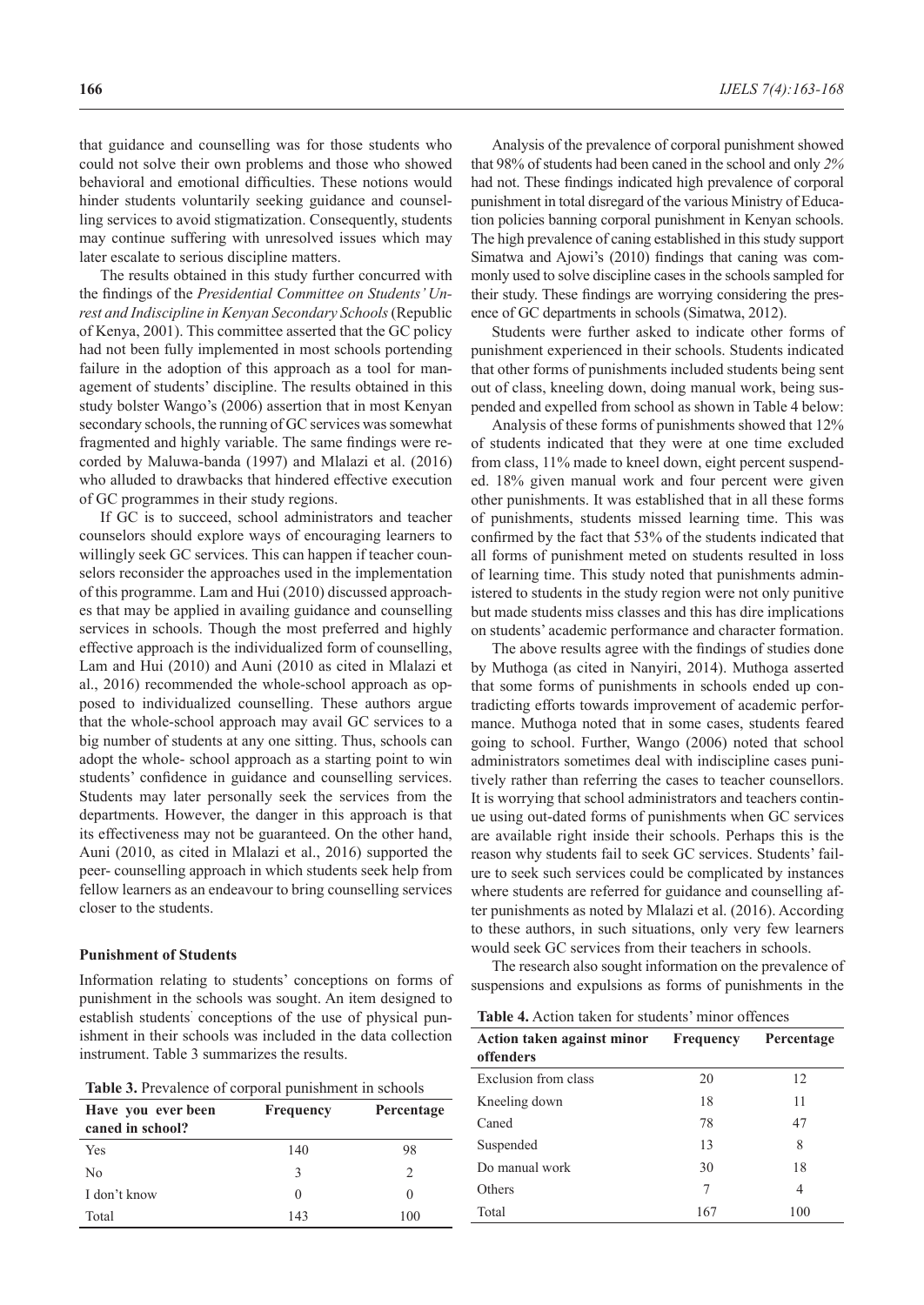that guidance and counselling was for those students who could not solve their own problems and those who showed behavioral and emotional difficulties. These notions would hinder students voluntarily seeking guidance and counselling services to avoid stigmatization. Consequently, students may continue suffering with unresolved issues which may later escalate to serious discipline matters.

The results obtained in this study further concurred with the findings of the *Presidential Committee on Students' Unrest and Indiscipline in Kenyan Secondary Schools* (Republic of Kenya, 2001). This committee asserted that the GC policy had not been fully implemented in most schools portending failure in the adoption of this approach as a tool for management of students' discipline. The results obtained in this study bolster Wango's (2006) assertion that in most Kenyan secondary schools, the running of GC services was somewhat fragmented and highly variable. The same findings were recorded by Maluwa-banda (1997) and Mlalazi et al. (2016) who alluded to drawbacks that hindered effective execution of GC programmes in their study regions.

If GC is to succeed, school administrators and teacher counselors should explore ways of encouraging learners to willingly seek GC services. This can happen if teacher counselors reconsider the approaches used in the implementation of this programme. Lam and Hui (2010) discussed approaches that may be applied in availing guidance and counselling services in schools. Though the most preferred and highly effective approach is the individualized form of counselling, Lam and Hui (2010) and Auni (2010 as cited in Mlalazi et al., 2016) recommended the whole-school approach as opposed to individualized counselling. These authors argue that the whole-school approach may avail GC services to a big number of students at any one sitting. Thus, schools can adopt the whole- school approach as a starting point to win students' confidence in guidance and counselling services. Students may later personally seek the services from the departments. However, the danger in this approach is that its effectiveness may not be guaranteed. On the other hand, Auni (2010, as cited in Mlalazi et al., 2016) supported the peer- counselling approach in which students seek help from fellow learners as an endeavour to bring counselling services closer to the students.

#### **Punishment of Students**

Information relating to students' conceptions on forms of punishment in the schools was sought. An item designed to establish students' conceptions of the use of physical punishment in their schools was included in the data collection instrument. Table 3 summarizes the results.

| <b>Table 3.</b> Prevalence of corporal punishment in schools |
|--------------------------------------------------------------|
|--------------------------------------------------------------|

| Have you ever been<br>caned in school? | Frequency    | Percentage    |
|----------------------------------------|--------------|---------------|
| Yes                                    | 140          | 98            |
| No                                     | 3            | $\mathcal{L}$ |
| I don't know                           | $\mathbf{0}$ |               |
| Total                                  | 143          | 100           |

Analysis of the prevalence of corporal punishment showed that 98% of students had been caned in the school and only *2%* had not. These findings indicated high prevalence of corporal punishment in total disregard of the various Ministry of Education policies banning corporal punishment in Kenyan schools. The high prevalence of caning established in this study support Simatwa and Ajowi's (2010) findings that caning was commonly used to solve discipline cases in the schools sampled for their study. These findings are worrying considering the presence of GC departments in schools (Simatwa, 2012).

Students were further asked to indicate other forms of punishment experienced in their schools. Students indicated that other forms of punishments included students being sent out of class, kneeling down, doing manual work, being suspended and expelled from school as shown in Table 4 below:

Analysis of these forms of punishments showed that 12% of students indicated that they were at one time excluded from class, 11% made to kneel down, eight percent suspended. 18% given manual work and four percent were given other punishments. It was established that in all these forms of punishments, students missed learning time. This was confirmed by the fact that 53% of the students indicated that all forms of punishment meted on students resulted in loss of learning time. This study noted that punishments administered to students in the study region were not only punitive but made students miss classes and this has dire implications on students' academic performance and character formation.

The above results agree with the findings of studies done by Muthoga (as cited in Nanyiri, 2014). Muthoga asserted that some forms of punishments in schools ended up contradicting efforts towards improvement of academic performance. Muthoga noted that in some cases, students feared going to school. Further, Wango (2006) noted that school administrators sometimes deal with indiscipline cases punitively rather than referring the cases to teacher counsellors. It is worrying that school administrators and teachers continue using out-dated forms of punishments when GC services are available right inside their schools. Perhaps this is the reason why students fail to seek GC services. Students' failure to seek such services could be complicated by instances where students are referred for guidance and counselling after punishments as noted by Mlalazi et al. (2016). According to these authors, in such situations, only very few learners would seek GC services from their teachers in schools.

The research also sought information on the prevalence of suspensions and expulsions as forms of punishments in the

**Table 4.** Action taken for students' minor offences

| Action taken against minor<br>offenders | <b>Frequency</b> | Percentage |  |  |
|-----------------------------------------|------------------|------------|--|--|
| Exclusion from class                    | 20               | 12         |  |  |
| Kneeling down                           | 18               | 11         |  |  |
| Caned                                   | 78               | 47         |  |  |
| Suspended                               | 13               | 8          |  |  |
| Do manual work                          | 30               | 18         |  |  |
| Others                                  | 7                | 4          |  |  |
| Total                                   | 167              | 100        |  |  |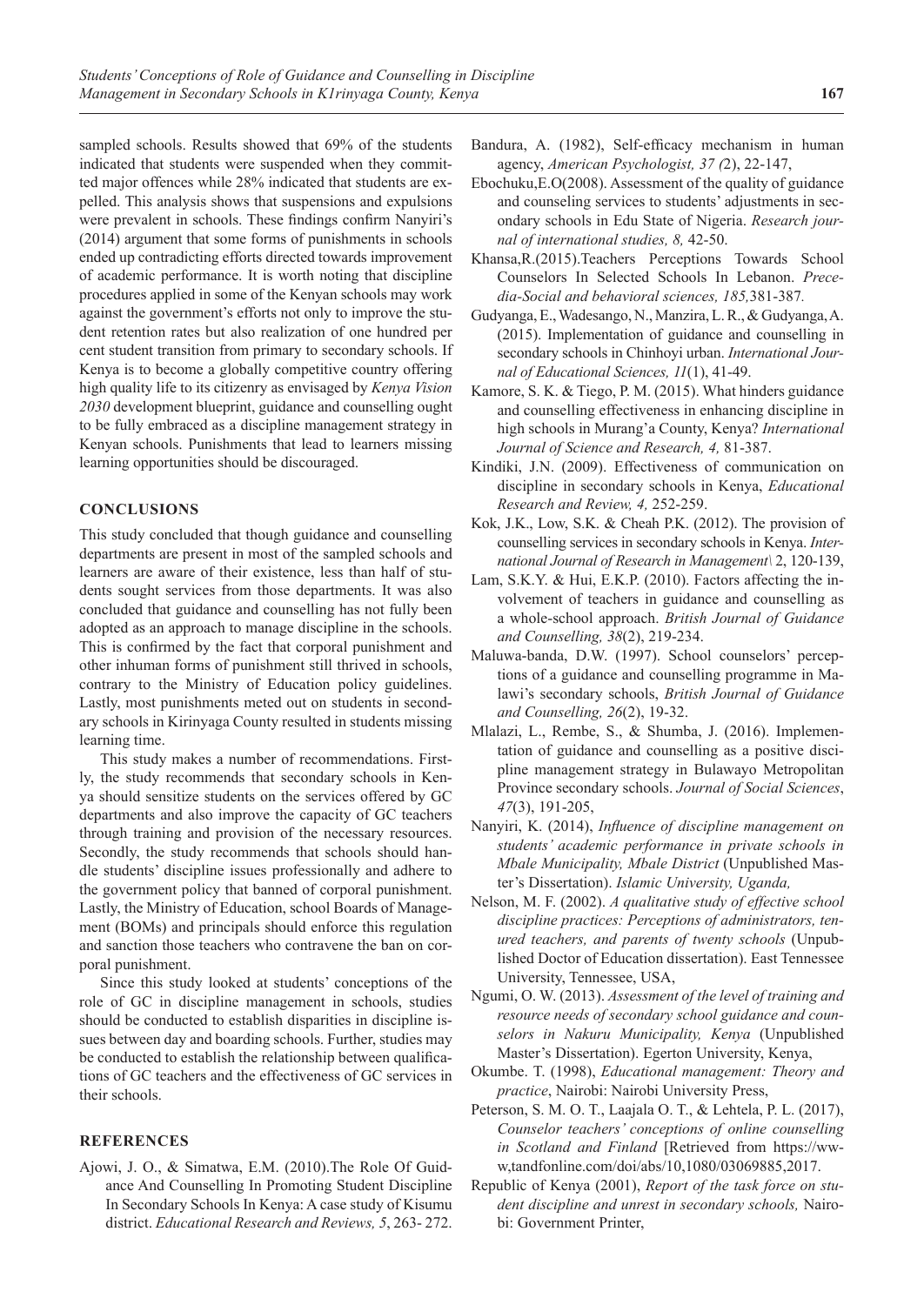sampled schools. Results showed that 69% of the students indicated that students were suspended when they committed major offences while 28% indicated that students are expelled. This analysis shows that suspensions and expulsions were prevalent in schools. These findings confirm Nanyiri's (2014) argument that some forms of punishments in schools ended up contradicting efforts directed towards improvement of academic performance. It is worth noting that discipline procedures applied in some of the Kenyan schools may work against the government's efforts not only to improve the student retention rates but also realization of one hundred per cent student transition from primary to secondary schools. If Kenya is to become a globally competitive country offering high quality life to its citizenry as envisaged by *Kenya Vision 2030* development blueprint, guidance and counselling ought to be fully embraced as a discipline management strategy in Kenyan schools. Punishments that lead to learners missing learning opportunities should be discouraged.

## **CONCLUSIONS**

This study concluded that though guidance and counselling departments are present in most of the sampled schools and learners are aware of their existence, less than half of students sought services from those departments. It was also concluded that guidance and counselling has not fully been adopted as an approach to manage discipline in the schools. This is confirmed by the fact that corporal punishment and other inhuman forms of punishment still thrived in schools, contrary to the Ministry of Education policy guidelines. Lastly, most punishments meted out on students in secondary schools in Kirinyaga County resulted in students missing learning time.

This study makes a number of recommendations. Firstly, the study recommends that secondary schools in Kenya should sensitize students on the services offered by GC departments and also improve the capacity of GC teachers through training and provision of the necessary resources. Secondly, the study recommends that schools should handle students' discipline issues professionally and adhere to the government policy that banned of corporal punishment. Lastly, the Ministry of Education, school Boards of Management (BOMs) and principals should enforce this regulation and sanction those teachers who contravene the ban on corporal punishment.

Since this study looked at students' conceptions of the role of GC in discipline management in schools, studies should be conducted to establish disparities in discipline issues between day and boarding schools. Further, studies may be conducted to establish the relationship between qualifications of GC teachers and the effectiveness of GC services in their schools.

#### **REFERENCES**

Ajowi, J. O., & Simatwa, E.M. (2010).The Role Of Guidance And Counselling In Promoting Student Discipline In Secondary Schools In Kenya: A case study of Kisumu district. *Educational Research and Reviews, 5*, 263- 272.

- Bandura, A. (1982), Self-efficacy mechanism in human agency, *American Psychologist, 37 (*2), 22-147,
- Ebochuku,E.O(2008). Assessment of the quality of guidance and counseling services to students' adjustments in secondary schools in Edu State of Nigeria. *Research journal of international studies, 8,* 42-50.
- Khansa,R.(2015).Teachers Perceptions Towards School Counselors In Selected Schools In Lebanon. *Precedia-Social and behavioral sciences, 185,*381-387*.*
- Gudyanga, E., Wadesango, N., Manzira, L. R., & Gudyanga,A. (2015). Implementation of guidance and counselling in secondary schools in Chinhoyi urban. *International Journal of Educational Sciences, 11*(1), 41-49.
- Kamore, S. K. & Tiego, P. M. (2015). What hinders guidance and counselling effectiveness in enhancing discipline in high schools in Murang'a County, Kenya? *International Journal of Science and Research, 4,* 81-387.
- Kindiki, J.N. (2009). Effectiveness of communication on discipline in secondary schools in Kenya, *Educational Research and Review, 4,* 252-259.
- Kok, J.K., Low, S.K. & Cheah P.K. (2012). The provision of counselling services in secondary schools in Kenya. *International Journal of Research in Management\* 2, 120-139,
- Lam, S.K.Y. & Hui, E.K.P. (2010). Factors affecting the involvement of teachers in guidance and counselling as a whole-school approach. *British Journal of Guidance and Counselling, 38*(2), 219-234.
- Maluwa-banda, D.W. (1997). School counselors' perceptions of a guidance and counselling programme in Malawi's secondary schools, *British Journal of Guidance and Counselling, 26*(2), 19-32.
- Mlalazi, L., Rembe, S., & Shumba, J. (2016). Implementation of guidance and counselling as a positive discipline management strategy in Bulawayo Metropolitan Province secondary schools. *Journal of Social Sciences*, *47*(3), 191-205,
- Nanyiri, K. (2014), *Influence of discipline management on students' academic performance in private schools in Mbale Municipality, Mbale District* (Unpublished Master's Dissertation). *Islamic University, Uganda,*
- Nelson, M. F. (2002). *A qualitative study of effective school discipline practices: Perceptions of administrators, tenured teachers, and parents of twenty schools* (Unpublished Doctor of Education dissertation). East Tennessee University, Tennessee, USA,
- Ngumi, O. W. (2013). *Assessment of the level of training and resource needs of secondary school guidance and counselors in Nakuru Municipality, Kenya* (Unpublished Master's Dissertation). Egerton University, Kenya,
- Okumbe. T. (1998), *Educational management: Theory and practice*, Nairobi: Nairobi University Press,
- Peterson, S. M. O. T., Laajala O. T., & Lehtela, P. L. (2017), *Counselor teachers' conceptions of online counselling in Scotland and Finland* [Retrieved from https://www,tandfonline.com/doi/abs/10,1080/03069885,2017.
- Republic of Kenya (2001), *Report of the task force on student discipline and unrest in secondary schools,* Nairobi: Government Printer,